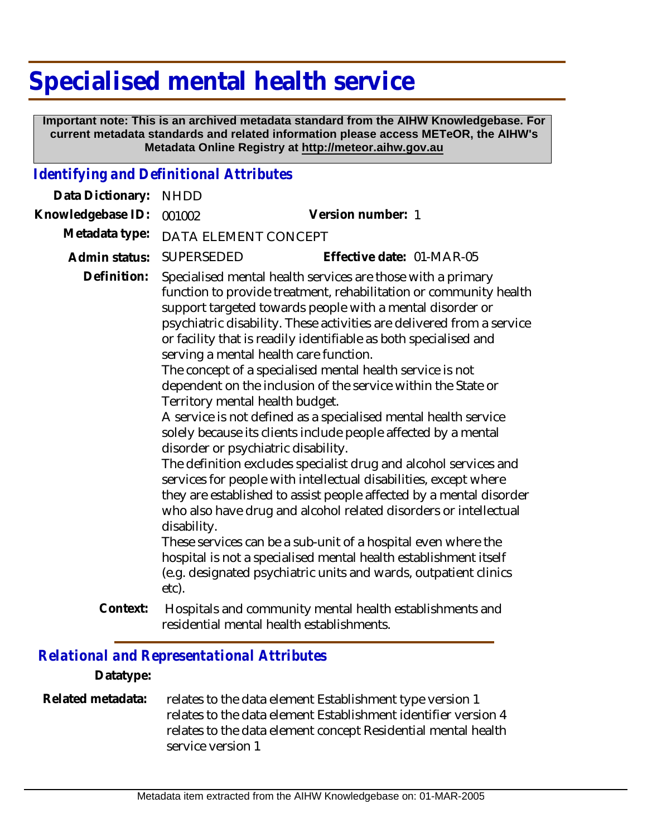# **Specialised mental health service**

 **Important note: This is an archived metadata standard from the AIHW Knowledgebase. For current metadata standards and related information please access METeOR, the AIHW's Metadata Online Registry at http://meteor.aihw.gov.au**

### *Identifying and Definitional Attributes*

| Data Dictionary:  | <b>NHDD</b>                                                                                    |                                                                                                                                                                                                                                                                                                                                                                                                                                                                                                                                                                                                                                                                                                                                                                                                                                                                                                                                                                                                                                                                                                                                                     |  |
|-------------------|------------------------------------------------------------------------------------------------|-----------------------------------------------------------------------------------------------------------------------------------------------------------------------------------------------------------------------------------------------------------------------------------------------------------------------------------------------------------------------------------------------------------------------------------------------------------------------------------------------------------------------------------------------------------------------------------------------------------------------------------------------------------------------------------------------------------------------------------------------------------------------------------------------------------------------------------------------------------------------------------------------------------------------------------------------------------------------------------------------------------------------------------------------------------------------------------------------------------------------------------------------------|--|
| Knowledgebase ID: | 001002                                                                                         | Version number: 1                                                                                                                                                                                                                                                                                                                                                                                                                                                                                                                                                                                                                                                                                                                                                                                                                                                                                                                                                                                                                                                                                                                                   |  |
| Metadata type:    | DATA ELEMENT CONCEPT                                                                           |                                                                                                                                                                                                                                                                                                                                                                                                                                                                                                                                                                                                                                                                                                                                                                                                                                                                                                                                                                                                                                                                                                                                                     |  |
| Admin status:     | SUPERSEDED                                                                                     | Effective date: 01-MAR-05                                                                                                                                                                                                                                                                                                                                                                                                                                                                                                                                                                                                                                                                                                                                                                                                                                                                                                                                                                                                                                                                                                                           |  |
| Definition:       | Territory mental health budget.<br>disorder or psychiatric disability.<br>disability.<br>etc). | Specialised mental health services are those with a primary<br>function to provide treatment, rehabilitation or community health<br>support targeted towards people with a mental disorder or<br>psychiatric disability. These activities are delivered from a service<br>or facility that is readily identifiable as both specialised and<br>serving a mental health care function.<br>The concept of a specialised mental health service is not<br>dependent on the inclusion of the service within the State or<br>A service is not defined as a specialised mental health service<br>solely because its clients include people affected by a mental<br>The definition excludes specialist drug and alcohol services and<br>services for people with intellectual disabilities, except where<br>they are established to assist people affected by a mental disorder<br>who also have drug and alcohol related disorders or intellectual<br>These services can be a sub-unit of a hospital even where the<br>hospital is not a specialised mental health establishment itself<br>(e.g. designated psychiatric units and wards, outpatient clinics |  |
| Context:          |                                                                                                | Hospitals and community mental health establishments and<br>residential mental health establishments.                                                                                                                                                                                                                                                                                                                                                                                                                                                                                                                                                                                                                                                                                                                                                                                                                                                                                                                                                                                                                                               |  |

## *Relational and Representational Attributes*

#### **Datatype:**

#### relates to the data element Establishment type version 1 relates to the data element Establishment identifier version 4 relates to the data element concept Residential mental health service version 1 **Related metadata:**